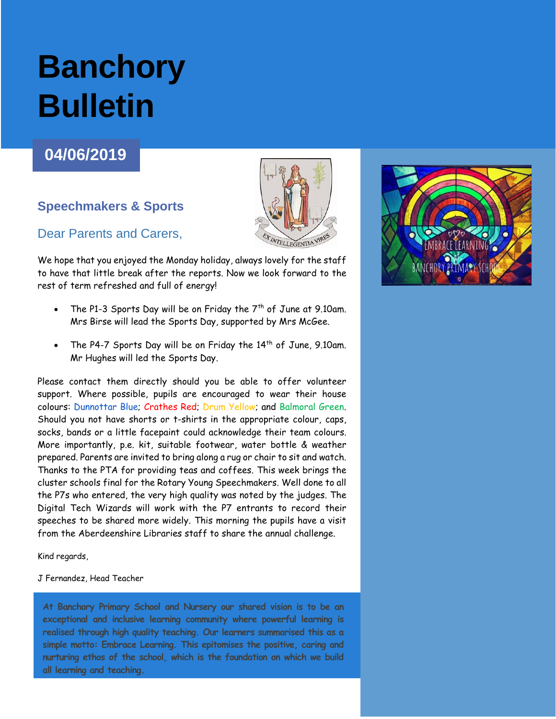# **Banchory Bulletin**

# **04/06/2019**

## **Speechmakers & Sports**

### Dear Parents and Carers,

We hope that you enjoyed the Monday holiday, always lovely for the staff to have that little break after the reports. Now we look forward to the rest of term refreshed and full of energy!

- The P1-3 Sports Day will be on Friday the  $7<sup>th</sup>$  of June at 9.10am. Mrs Birse will lead the Sports Day, supported by Mrs McGee.
- The P4-7 Sports Day will be on Friday the  $14<sup>th</sup>$  of June, 9.10am. Mr Hughes will led the Sports Day.

Please contact them directly should you be able to offer volunteer support. Where possible, pupils are encouraged to wear their house colours: Dunnottar Blue; Crathes Red; Drum Yellow; and Balmoral Green. Should you not have shorts or t-shirts in the appropriate colour, caps, socks, bands or a little facepaint could acknowledge their team colours. More importantly, p.e. kit, suitable footwear, water bottle & weather prepared. Parents are invited to bring along a rug or chair to sit and watch. Thanks to the PTA for providing teas and coffees. This week brings the cluster schools final for the Rotary Young Speechmakers. Well done to all the P7s who entered, the very high quality was noted by the judges. The Digital Tech Wizards will work with the P7 entrants to record their speeches to be shared more widely. This morning the pupils have a visit from the Aberdeenshire Libraries staff to share the annual challenge.

Kind regards,

### J Fernandez, Head Teacher

**At Banchory Primary School and Nursery our shared vision is to be an exceptional and inclusive learning community where powerful learning is realised through high quality teaching. Our learners summarised this as a simple motto: Embrace Learning. This epitomises the positive, caring and nurturing ethos of the school, which is the foundation on which we build all learning and teaching.**

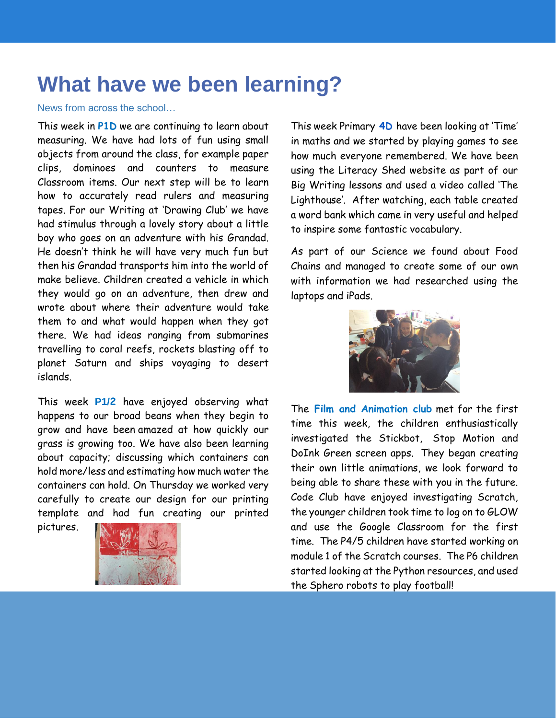# **What have we been learning?**

### News from across the school…

This week in **P1D** we are continuing to learn about measuring. We have had lots of fun using small objects from around the class, for example paper clips, dominoes and counters to measure Classroom items. Our next step will be to learn how to accurately read rulers and measuring tapes. For our Writing at 'Drawing Club' we have had stimulus through a lovely story about a little boy who goes on an adventure with his Grandad. He doesn't think he will have very much fun but then his Grandad transports him into the world of make believe. Children created a vehicle in which they would go on an adventure, then drew and wrote about where their adventure would take them to and what would happen when they got there. We had ideas ranging from submarines travelling to coral reefs, rockets blasting off to planet Saturn and ships voyaging to desert islands.

This week **P1/2** have enjoyed observing what happens to our broad beans when they begin to grow and have been amazed at how quickly our grass is growing too. We have also been learning about capacity; discussing which containers can hold more/less and estimating how much water the containers can hold. On Thursday we worked very carefully to create our design for our printing template and had fun creating our printed pictures.



This week Primary **4D** have been looking at 'Time' in maths and we started by playing games to see how much everyone remembered. We have been using the Literacy Shed website as part of our Big Writing lessons and used a video called 'The Lighthouse'. After watching, each table created a word bank which came in very useful and helped to inspire some fantastic vocabulary.

As part of our Science we found about Food Chains and managed to create some of our own with information we had researched using the laptops and iPads.



The **Film and Animation club** met for the first time this week, the children enthusiastically investigated the Stickbot, Stop Motion and DoInk Green screen apps. They began creating their own little animations, we look forward to being able to share these with you in the future. Code Club have enjoyed investigating Scratch, the younger children took time to log on to GLOW and use the Google Classroom for the first time. The P4/5 children have started working on module 1 of the Scratch courses. The P6 children started looking at the Python resources, and used the Sphero robots to play football!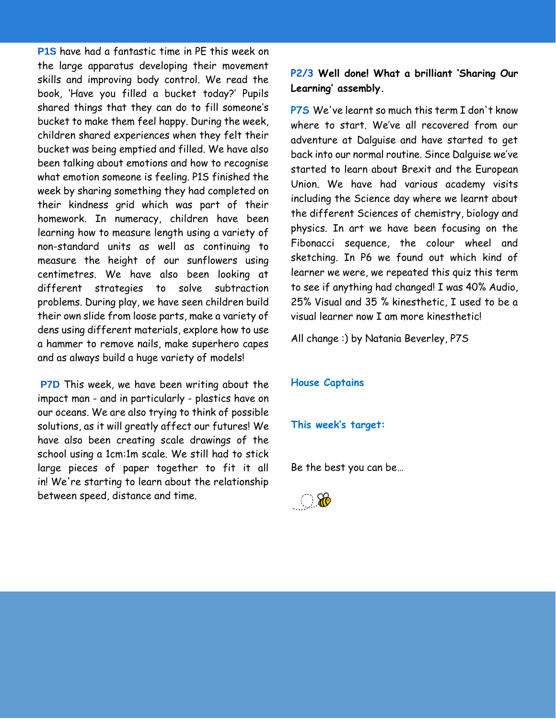**P1S** have had a fantastic time in PE this week on the large apparatus developing their movement skills and improving body control. We read the book, 'Have you filled a bucket today?' Pupils shared things that they can do to fill someone's bucket to make them feel happy. During the week, children shared experiences when they felt their bucket was being emptied and filled. We have also been talking about emotions and how to recognise what emotion someone is feeling. P1S finished the week by sharing something they had completed on their kindness grid which was part of their homework. In numeracy, children have been learning how to measure length using a variety of non-standard units as well as continuing to measure the height of our sunflowers using centimetres. We have also been looking at different strategies to solve subtraction problems. During play, we have seen children build their own slide from loose parts, make a variety of dens using different materials, explore how to use a hammer to remove nails, make superhero capes and as always build a huge variety of models!

**P7D** This week, we have been writing about the impact man - and in particularly - plastics have on our oceans. We are also trying to think of possible solutions, as it will greatly affect our futures! We have also been creating scale drawings of the school using a 1cm:1m scale. We still had to stick large pieces of paper together to fit it all in! We're starting to learn about the relationship between speed, distance and time.

**P2/3 Well done! What a brilliant 'Sharing Our Learning' assembly.** 

**P7S** We've learnt so much this term I don't know where to start. We've all recovered from our adventure at Dalguise and have started to get back into our normal routine. Since Dalguise we've started to learn about Brexit and the European Union. We have had various academy visits including the Science day where we learnt about the different Sciences of chemistry, biology and physics. In art we have been focusing on the Fibonacci sequence, the colour wheel and sketching. In P6 we found out which kind of learner we were, we repeated this quiz this term to see if anything had changed! I was 40% Audio, 25% Visual and 35 % kinesthetic, I used to be a visual learner now I am more kinesthetic!

All change :) by Natania Beverley, P7S

### **House Captains**

### **This week's target:**

Be the best you can be…

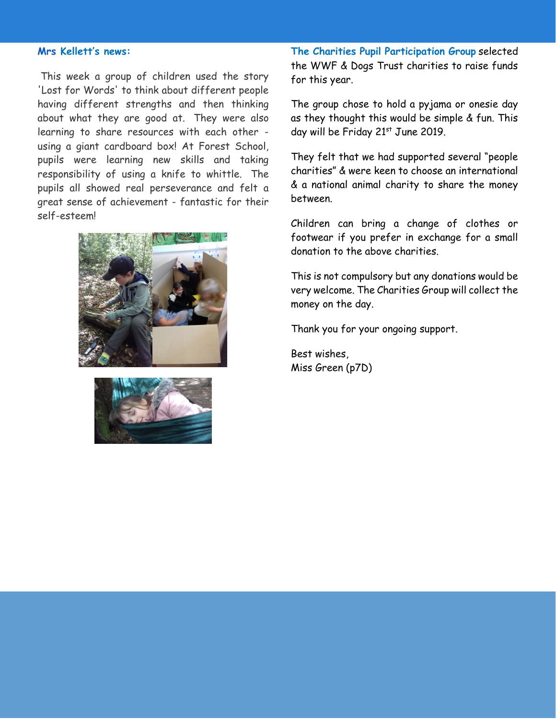### **Mrs Kellett's news:**

This week a group of children used the story 'Lost for Words' to think about different people having different strengths and then thinking about what they are good at. They were also learning to share resources with each other using a giant cardboard box! At Forest School, pupils were learning new skills and taking responsibility of using a knife to whittle. The pupils all showed real perseverance and felt a great sense of achievement - fantastic for their self-esteem!





**The Charities Pupil Participation Group** selected the WWF & Dogs Trust charities to raise funds for this year.

The group chose to hold a pyjama or onesie day as they thought this would be simple & fun. This day will be Friday 21st June 2019.

They felt that we had supported several "people charities" & were keen to choose an international & a national animal charity to share the money between.

Children can bring a change of clothes or footwear if you prefer in exchange for a small donation to the above charities.

This is not compulsory but any donations would be very welcome. The Charities Group will collect the money on the day.

Thank you for your ongoing support.

Best wishes, Miss Green (p7D)